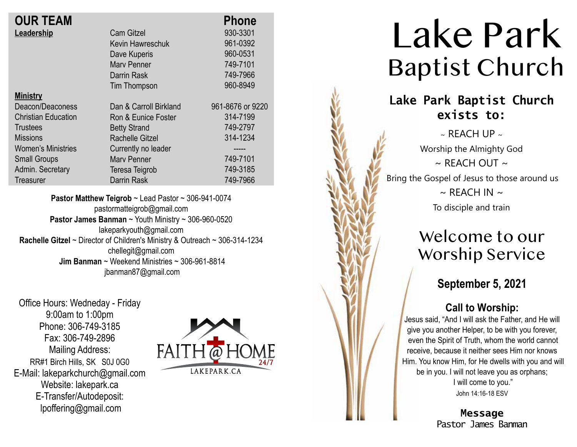| <b>OUR TEAM</b>            |                        | <b>Phone</b>     |
|----------------------------|------------------------|------------------|
| Leadership                 | <b>Cam Gitzel</b>      | 930-3301         |
|                            | Kevin Hawreschuk       | 961-0392         |
|                            | Dave Kuperis           | 960-0531         |
|                            | <b>Mary Penner</b>     | 749-7101         |
|                            | Darrin Rask            | 749-7966         |
|                            | Tim Thompson           | 960-8949         |
| <b>Ministry</b>            |                        |                  |
| Deacon/Deaconess           | Dan & Carroll Birkland | 961-8676 or 9220 |
| <b>Christian Education</b> | Ron & Eunice Foster    | 314-7199         |
| Trustees                   | <b>Betty Strand</b>    | 749-2797         |
| <b>Missions</b>            | Rachelle Gitzel        | 314-1234         |
| <b>Women's Ministries</b>  | Currently no leader    | -----            |
| <b>Small Groups</b>        | <b>Mary Penner</b>     | 749-7101         |
| Admin. Secretary           | Teresa Teigrob         | 749-3185         |
| <b>Treasurer</b>           | <b>Darrin Rask</b>     | 749-7966         |
|                            |                        |                  |

**Pastor Matthew Teigrob** ~ Lead Pastor ~ 306-941-0074 pastormatteigrob@gmail.com **Pastor James Banman** ~ Youth Ministry ~ 306-960-0520 lakeparkyouth@gmail.com **Rachelle Gitzel** ~ Director of Children's Ministry & Outreach ~ 306-314-1234 chellegit@gmail.com  **Jim Banman** ~ Weekend Ministries ~ 306-961-8814 jbanman87@gmail.com

Office Hours: Wedneday - Friday 9:00am to 1:00pm Phone: 306-749-3185 Fax: 306-749-2896 Mailing Address: RR#1 Birch Hills, SK S0J 0G0 E-Mail: lakeparkchurch@gmail.com Website: lakepark.ca E-Transfer/Autodeposit: lpoffering@gmail.com



# Lake Park Baptist Church

## **Lake Park Baptist Church exists to:**

 $\sim$  REACH UP  $\sim$ Worship the Almighty God  $\sim$  RFACH OUT  $\sim$ Bring the Gospel of Jesus to those around us  $\sim$  REACH IN  $\sim$ To disciple and train

## Welcome to our Worship Service

### **September 5, 2021**

### **Call to Worship:**

Jesus said, "And I will ask the Father, and He will give you another Helper, to be with you forever, even the Spirit of Truth, whom the world cannot receive, because it neither sees Him nor knows Him. You know Him, for He dwells with you and will be in you. I will not leave you as orphans; I will come to you." John 14:16-18 ESV

> **Message** Pastor James Banman